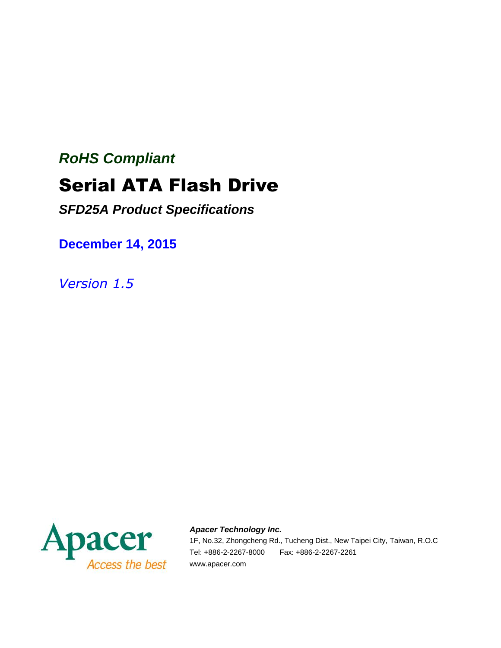# *RoHS Compliant* Serial ATA Flash Drive

*SFD25A Product Specifications*

**December 14, 2015**

*Version 1.5*



*Apacer Technology Inc.*

1F, No.32, Zhongcheng Rd., Tucheng Dist., New Taipei City, Taiwan, R.O.C Tel: +886-2-2267-8000 Fax: +886-2-2267-2261 www.apacer.com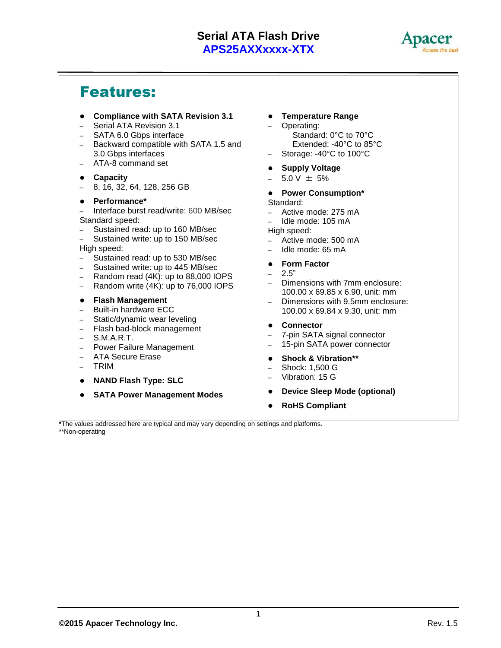

### Features:

- **Compliance with SATA Revision 3.1**
- Serial ATA Revision 3.1
- SATA 6.0 Gbps interface
- Backward compatible with SATA 1.5 and 3.0 Gbps interfaces
- ATA-8 command set

#### **Capacity**

– 8, 16, 32, 64, 128, 256 GB

#### **Performance\***

– Interface burst read/write: 600 MB/sec Standard speed:

- Sustained read: up to 160 MB/sec
- Sustained write: up to 150 MB/sec High speed:
- Sustained read: up to 530 MB/sec
- Sustained write: up to 445 MB/sec
- Random read (4K): up to 88,000 IOPS
- Random write (4K): up to 76,000 IOPS
- **Flash Management**
- Built-in hardware ECC
- Static/dynamic wear leveling
- Flash bad-block management
- S.M.A.R.T.
- Power Failure Management
- ATA Secure Erase
- TRIM
- **NAND Flash Type: SLC**
- **SATA Power Management Modes**
- **Temperature Range**
	- Operating: Standard: 0°C to 70°C Extended: -40°C to 85°C
	- Storage: -40°C to 100°C
- **Supply Voltage**
- $-5.0$  V  $\pm$  5%

#### **Power Consumption\***

Standard:

- Active mode: 275 mA
- Idle mode: 105 mA
- High speed:
- Active mode: 500 mA
- Idle mode: 65 mA
- **Form Factor**
- $-2.5"$
- Dimensions with 7mm enclosure: 100.00 x 69.85 x 6.90, unit: mm
- Dimensions with 9.5mm enclosure: 100.00 x 69.84 x 9.30, unit: mm
- **Connector**
- 7-pin SATA signal connector
- 15-pin SATA power connector
- **Shock & Vibration\*\***
- Shock: 1,500 G
- Vibration: 15 G
- **Device Sleep Mode (optional)**
- **RoHS Compliant**

**\***The values addressed here are typical and may vary depending on settings and platforms. \*\*Non-operating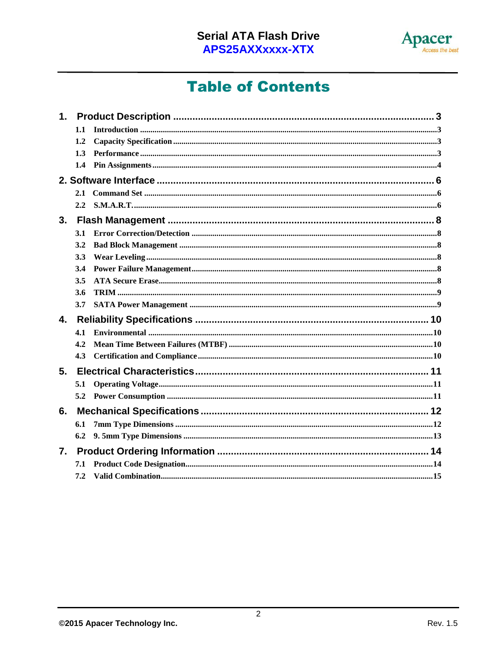

## **Table of Contents**

| 1. |               |  |
|----|---------------|--|
|    | 1.1           |  |
|    | 1.2           |  |
|    | 1.3           |  |
|    | $1.4^{\circ}$ |  |
|    |               |  |
|    |               |  |
|    |               |  |
| 3. |               |  |
|    | 3.1           |  |
|    | 3.2           |  |
|    | 3.3           |  |
|    | 3.4           |  |
|    | 3.5           |  |
|    | 3.6           |  |
|    | 3.7           |  |
| 4. |               |  |
|    | 4.1           |  |
|    | 4.2           |  |
|    | 4.3           |  |
| 5. |               |  |
|    | 5.1           |  |
|    |               |  |
| 6. |               |  |
|    | 6.1           |  |
|    | 6.2           |  |
| 7. |               |  |
|    | 7.1           |  |
|    | 7.2           |  |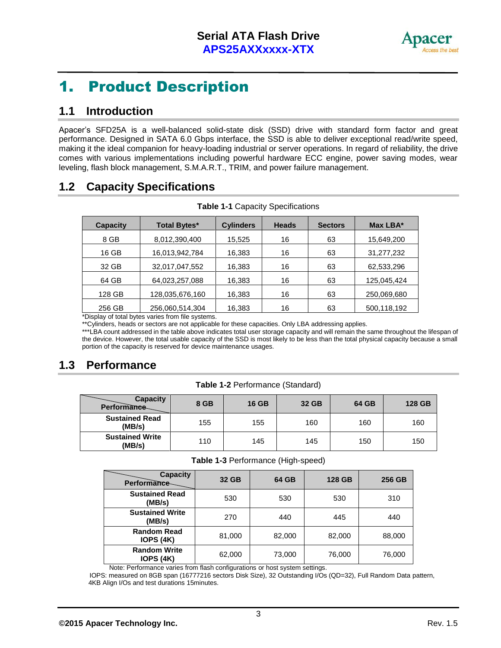

### 1. Product Description

#### **1.1 Introduction**

Apacer's SFD25A is a well-balanced solid-state disk (SSD) drive with standard form factor and great performance. Designed in SATA 6.0 Gbps interface, the SSD is able to deliver exceptional read/write speed, making it the ideal companion for heavy-loading industrial or server operations. In regard of reliability, the drive comes with various implementations including powerful hardware ECC engine, power saving modes, wear leveling, flash block management, S.M.A.R.T., TRIM, and power failure management.

#### **1.2 Capacity Specifications**

| <b>Capacity</b> | <b>Total Bytes*</b> | <b>Cylinders</b> | <b>Heads</b> | <b>Sectors</b> | Max LBA*    |
|-----------------|---------------------|------------------|--------------|----------------|-------------|
| 8 GB            | 8,012,390,400       | 15,525           | 16           | 63             | 15,649,200  |
| 16 GB           | 16,013,942,784      | 16,383           | 16           | 63             | 31,277,232  |
| 32 GB           | 32,017,047,552      | 16,383           | 16           | 63             | 62,533,296  |
| 64 GB           | 64,023,257,088      | 16,383           | 16           | 63             | 125,045,424 |
| 128 GB          | 128,035,676,160     | 16,383           | 16           | 63             | 250,069,680 |
| 256 GB          | 256,060,514,304     | 16,383           | 16           | 63             | 500,118,192 |

**Table 1-1** Capacity Specifications

\*Display of total bytes varies from file systems.

\*\*Cylinders, heads or sectors are not applicable for these capacities. Only LBA addressing applies.

\*\*\*LBA count addressed in the table above indicates total user storage capacity and will remain the same throughout the lifespan of the device. However, the total usable capacity of the SSD is most likely to be less than the total physical capacity because a small portion of the capacity is reserved for device maintenance usages.

### **1.3 Performance**

| <b>Capacity</b><br>Performance   | 8 GB | <b>16 GB</b> | 32 GB | 64 GB | 128 GB |
|----------------------------------|------|--------------|-------|-------|--------|
| <b>Sustained Read</b><br>(MB/s)  | 155  | 155          | 160   | 160   | 160    |
| <b>Sustained Write</b><br>(MB/s) | 110  | 145          | 145   | 150   | 150    |

**Table 1-3** Performance (High-speed)

| <b>Capacity</b><br>Performance-         | 32 GB  | 64 GB  | 128 GB | 256 GB |
|-----------------------------------------|--------|--------|--------|--------|
| <b>Sustained Read</b><br>(MB/s)         | 530    | 530    | 530    | 310    |
| <b>Sustained Write</b><br>(MB/s)        | 270    | 440    | 445    | 440    |
| <b>Random Read</b><br><b>IOPS (4K)</b>  | 81,000 | 82,000 | 82,000 | 88,000 |
| <b>Random Write</b><br><b>IOPS (4K)</b> | 62,000 | 73,000 | 76,000 | 76,000 |

Note: Performance varies from flash configurations or host system settings.

 IOPS: measured on 8GB span (16777216 sectors Disk Size), 32 Outstanding I/Os (QD=32), Full Random Data pattern, 4KB Align I/Os and test durations 15minutes.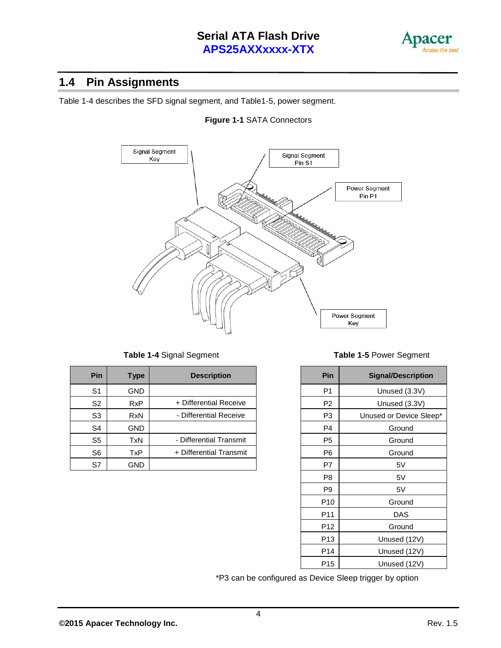

#### **1.4 Pin Assignments**

Table 1-4 describes the SFD signal segment, and Table1-5, power segment.





| <b>Pin</b>     | Type       | <b>Description</b>      | Pin            | <b>Signal/Description</b> |
|----------------|------------|-------------------------|----------------|---------------------------|
| S <sub>1</sub> | GND.       |                         | P <sub>1</sub> | Unused (3.3V)             |
| S <sub>2</sub> | <b>RxP</b> | + Differential Receive  | P <sub>2</sub> | Unused (3.3V)             |
| S <sub>3</sub> | <b>RxN</b> | - Differential Receive  | P <sub>3</sub> | Unused or Device Slee     |
| S <sub>4</sub> | GND.       |                         | P <sub>4</sub> | Ground                    |
| S <sub>5</sub> | <b>TxN</b> | - Differential Transmit | P <sub>5</sub> | Ground                    |
| S <sub>6</sub> | TxP        | + Differential Transmit | P <sub>6</sub> | Ground                    |
| S7             | <b>GND</b> |                         | P7             | 5V                        |

**Table 1-4** Signal Segment **Table 1-5** Power Segment

| Pin             | <b>Signal/Description</b> |
|-----------------|---------------------------|
| P1              | Unused (3.3V)             |
| P <sub>2</sub>  | Unused (3.3V)             |
| P3              | Unused or Device Sleep*   |
| P <sub>4</sub>  | Ground                    |
| P <sub>5</sub>  | Ground                    |
| P6              | Ground                    |
| P7              | 5V                        |
| P8              | 5V                        |
| P9              | 5V                        |
| P <sub>10</sub> | Ground                    |
| P <sub>11</sub> | <b>DAS</b>                |
| P12             | Ground                    |
| P <sub>13</sub> | Unused (12V)              |
| P <sub>14</sub> | Unused (12V)              |
| P15             | Unused (12V)              |

\*P3 can be configured as Device Sleep trigger by option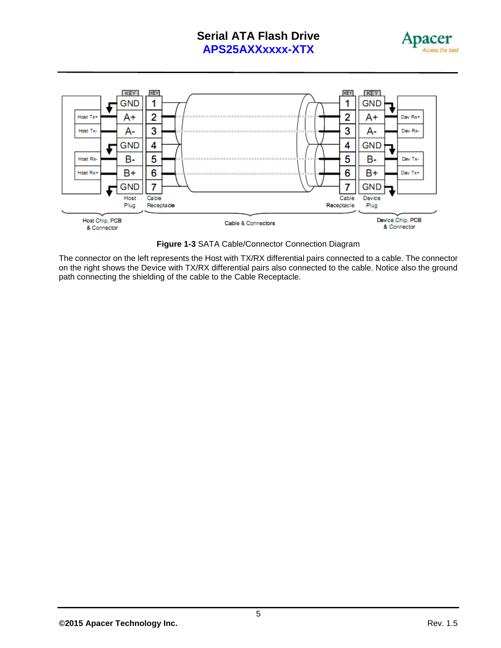



**Figure 1-3** SATA Cable/Connector Connection Diagram

The connector on the left represents the Host with TX/RX differential pairs connected to a cable. The connector on the right shows the Device with TX/RX differential pairs also connected to the cable. Notice also the ground path connecting the shielding of the cable to the Cable Receptacle.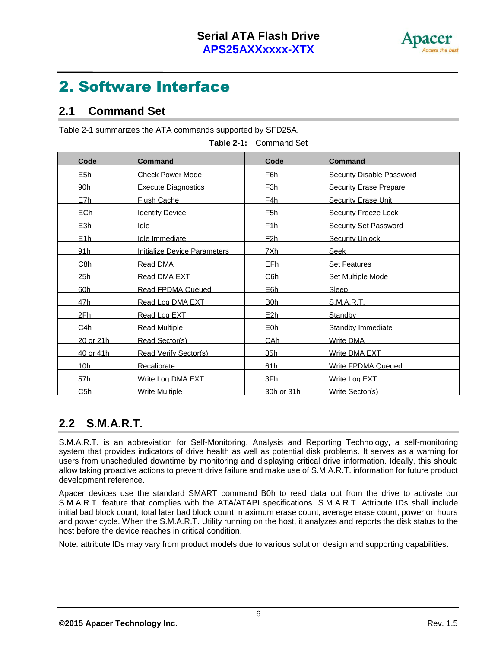

## 2. Software Interface

#### **2.1 Command Set**

Table 2-1 summarizes the ATA commands supported by SFD25A.

| <b>Code</b>      | <b>Command</b>                      | Code             | <b>Command</b>                   |
|------------------|-------------------------------------|------------------|----------------------------------|
| E <sub>5h</sub>  | <b>Check Power Mode</b>             | F6h              | <b>Security Disable Password</b> |
| 90h              | <b>Execute Diagnostics</b>          | F <sub>3h</sub>  | <b>Security Erase Prepare</b>    |
| E7h              | <b>Flush Cache</b>                  | F4h              | Security Erase Unit              |
| ECh              | <b>Identify Device</b>              | F <sub>5</sub> h | Security Freeze Lock             |
| E3h              | Idle                                | <u>F1h</u>       | <b>Security Set Password</b>     |
| E1h              | Idle Immediate                      | F <sub>2</sub> h | <b>Security Unlock</b>           |
| 91h              | <b>Initialize Device Parameters</b> | <u>7Xh</u>       | <b>Seek</b>                      |
| C <sub>8h</sub>  | Read DMA                            | EFh              | <b>Set Features</b>              |
| 25h              | Read DMA EXT                        | C6h              | Set Multiple Mode                |
| 60h              | <b>Read FPDMA Queued</b>            | E6h              | Sleep                            |
| 47h              | Read Log DMA EXT                    | B0h              | S.M.A.R.T.                       |
| 2Fh              | Read Log EXT                        | E2h              | Standby                          |
| C <sub>4</sub> h | Read Multiple                       | E <sub>0</sub> h | Standby Immediate                |
| <u>20 or 21h</u> | Read Sector(s)                      | CAh              | <b>Write DMA</b>                 |
| 40 or 41h        | <b>Read Verify Sector(s)</b>        | 35h              | Write DMA EXT                    |
| 10 <sub>h</sub>  | <b>Recalibrate</b>                  | 61h              | <b>Write FPDMA Queued</b>        |
| 57h              | Write Log DMA EXT                   | 3Fh              | Write Log EXT                    |
| C5h              | <b>Write Multiple</b>               | 30h or 31h       | Write Sector(s)                  |

**Table 2-1:** Command Set

### **2.2 S.M.A.R.T.**

S.M.A.R.T. is an abbreviation for Self-Monitoring, Analysis and Reporting Technology, a self-monitoring system that provides indicators of drive health as well as potential disk problems. It serves as a warning for users from unscheduled downtime by monitoring and displaying critical drive information. Ideally, this should allow taking proactive actions to prevent drive failure and make use of S.M.A.R.T. information for future product development reference.

Apacer devices use the standard SMART command B0h to read data out from the drive to activate our S.M.A.R.T. feature that complies with the ATA/ATAPI specifications. S.M.A.R.T. Attribute IDs shall include initial bad block count, total later bad block count, maximum erase count, average erase count, power on hours and power cycle. When the S.M.A.R.T. Utility running on the host, it analyzes and reports the disk status to the host before the device reaches in critical condition.

Note: attribute IDs may vary from product models due to various solution design and supporting capabilities.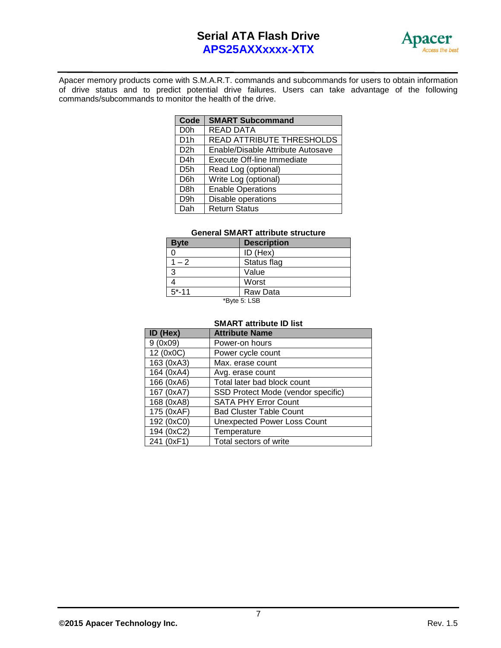

Apacer memory products come with S.M.A.R.T. commands and subcommands for users to obtain information of drive status and to predict potential drive failures. Users can take advantage of the following commands/subcommands to monitor the health of the drive.

| Code             | <b>SMART Subcommand</b>           |
|------------------|-----------------------------------|
| D <sub>0</sub> h | <b>READ DATA</b>                  |
| D <sub>1</sub> h | READ ATTRIBUTE THRESHOLDS         |
| D <sub>2</sub> h | Enable/Disable Attribute Autosave |
| D <sub>4</sub> h | <b>Execute Off-line Immediate</b> |
| D <sub>5</sub> h | Read Log (optional)               |
| D <sub>6</sub> h | Write Log (optional)              |
| D <sub>8</sub> h | <b>Enable Operations</b>          |
| D <sub>9</sub> h | Disable operations                |
| Dah              | <b>Return Status</b>              |

#### **General SMART attribute structure**

| <b>Byte</b> | <b>Description</b> |
|-------------|--------------------|
|             | ID (Hex)           |
| $1 - 2$     | Status flag        |
| 3           | Value              |
|             | Worst              |
| $5 - 11$    | Raw Data           |
|             | $*Rvta 5.1$ SR     |

'Byte 5: LSB

#### **SMART attribute ID list**

| ID (Hex)   | <b>Attribute Name</b>              |
|------------|------------------------------------|
| 9(0x09)    | Power-on hours                     |
| 12 (0x0C)  | Power cycle count                  |
| 163 (0xA3) | Max. erase count                   |
| 164 (0xA4) | Avg. erase count                   |
| 166 (0xA6) | Total later bad block count        |
| 167 (0xA7) | SSD Protect Mode (vendor specific) |
| 168 (0xA8) | <b>SATA PHY Error Count</b>        |
| 175 (0xAF) | <b>Bad Cluster Table Count</b>     |
| 192 (0xC0) | <b>Unexpected Power Loss Count</b> |
| 194 (0xC2) | Temperature                        |
| 241 (0xF1) | Total sectors of write             |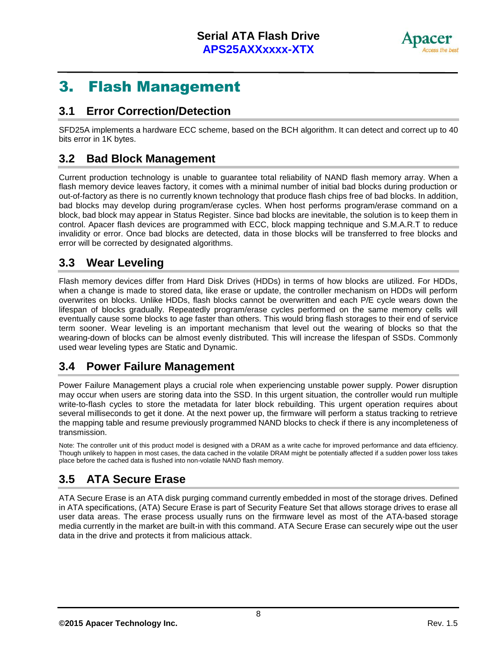

### 3. Flash Management

#### **3.1 Error Correction/Detection**

SFD25A implements a hardware ECC scheme, based on the BCH algorithm. It can detect and correct up to 40 bits error in 1K bytes.

#### **3.2 Bad Block Management**

Current production technology is unable to guarantee total reliability of NAND flash memory array. When a flash memory device leaves factory, it comes with a minimal number of initial bad blocks during production or out-of-factory as there is no currently known technology that produce flash chips free of bad blocks. In addition, bad blocks may develop during program/erase cycles. When host performs program/erase command on a block, bad block may appear in Status Register. Since bad blocks are inevitable, the solution is to keep them in control. Apacer flash devices are programmed with ECC, block mapping technique and S.M.A.R.T to reduce invalidity or error. Once bad blocks are detected, data in those blocks will be transferred to free blocks and error will be corrected by designated algorithms.

#### **3.3 Wear Leveling**

Flash memory devices differ from Hard Disk Drives (HDDs) in terms of how blocks are utilized. For HDDs, when a change is made to stored data, like erase or update, the controller mechanism on HDDs will perform overwrites on blocks. Unlike HDDs, flash blocks cannot be overwritten and each P/E cycle wears down the lifespan of blocks gradually. Repeatedly program/erase cycles performed on the same memory cells will eventually cause some blocks to age faster than others. This would bring flash storages to their end of service term sooner. Wear leveling is an important mechanism that level out the wearing of blocks so that the wearing-down of blocks can be almost evenly distributed. This will increase the lifespan of SSDs. Commonly used wear leveling types are Static and Dynamic.

#### **3.4 Power Failure Management**

Power Failure Management plays a crucial role when experiencing unstable power supply. Power disruption may occur when users are storing data into the SSD. In this urgent situation, the controller would run multiple write-to-flash cycles to store the metadata for later block rebuilding. This urgent operation requires about several milliseconds to get it done. At the next power up, the firmware will perform a status tracking to retrieve the mapping table and resume previously programmed NAND blocks to check if there is any incompleteness of transmission.

Note: The controller unit of this product model is designed with a DRAM as a write cache for improved performance and data efficiency. Though unlikely to happen in most cases, the data cached in the volatile DRAM might be potentially affected if a sudden power loss takes place before the cached data is flushed into non-volatile NAND flash memory.

### **3.5 ATA Secure Erase**

ATA Secure Erase is an ATA disk purging command currently embedded in most of the storage drives. Defined in ATA specifications, (ATA) Secure Erase is part of Security Feature Set that allows storage drives to erase all user data areas. The erase process usually runs on the firmware level as most of the ATA-based storage media currently in the market are built-in with this command. ATA Secure Erase can securely wipe out the user data in the drive and protects it from malicious attack.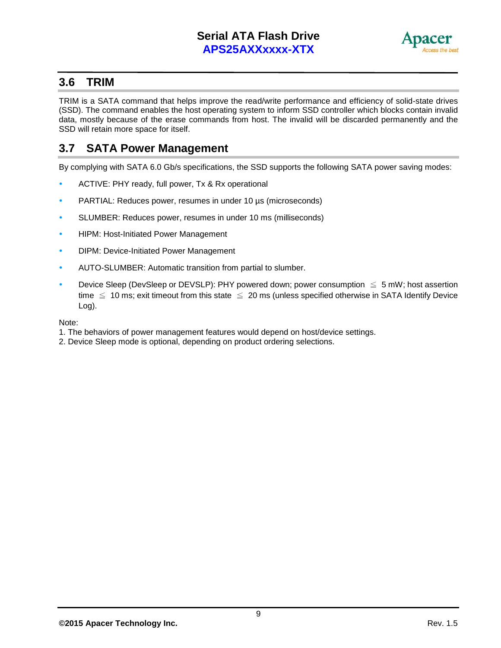

#### **3.6 TRIM**

TRIM is a SATA command that helps improve the read/write performance and efficiency of solid-state drives (SSD). The command enables the host operating system to inform SSD controller which blocks contain invalid data, mostly because of the erase commands from host. The invalid will be discarded permanently and the SSD will retain more space for itself.

#### **3.7 SATA Power Management**

By complying with SATA 6.0 Gb/s specifications, the SSD supports the following SATA power saving modes:

- ACTIVE: PHY ready, full power, Tx & Rx operational
- PARTIAL: Reduces power, resumes in under 10 [µs](http://en.wikipedia.org/wiki/Mu_(letter)) (microseconds)
- SLUMBER: Reduces power, resumes in under 10 ms (milliseconds)
- **•** HIPM: Host-Initiated Power Management
- **DIPM: Device-Initiated Power Management**
- AUTO-SLUMBER: Automatic transition from partial to slumber.
- Device Sleep (DevSleep or DEVSLP): PHY powered down; power consumption  $\leq$  5 mW; host assertion time  $\leq 10$  ms; exit timeout from this state  $\leq 20$  ms (unless specified otherwise in SATA Identify Device Log).

Note:

- 1. The behaviors of power management features would depend on host/device settings.
- 2. Device Sleep mode is optional, depending on product ordering selections.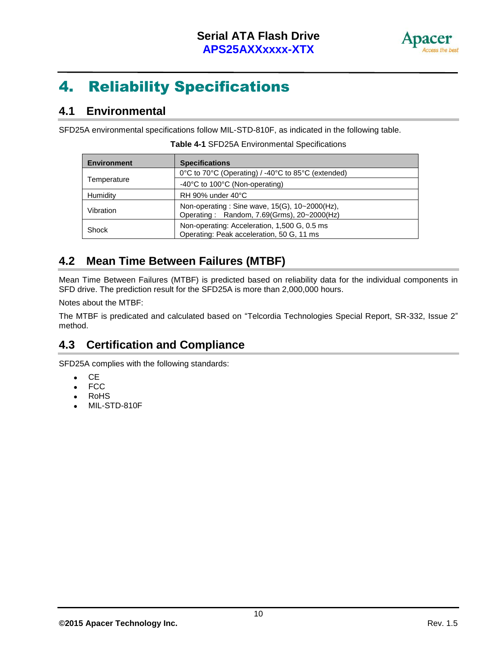

## 4. Reliability Specifications

#### **4.1 Environmental**

SFD25A environmental specifications follow MIL-STD-810F, as indicated in the following table.

| <b>Environment</b> | <b>Specifications</b>                                                                       |
|--------------------|---------------------------------------------------------------------------------------------|
|                    | 0°C to 70°C (Operating) / -40°C to 85°C (extended)                                          |
| Temperature        | -40°C to 100°C (Non-operating)                                                              |
| Humidity           | RH 90% under 40°C                                                                           |
| Vibration          | Non-operating: Sine wave, 15(G), 10~2000(Hz),<br>Operating: Random, 7.69(Grms), 20~2000(Hz) |
| Shock              | Non-operating: Acceleration, 1,500 G, 0.5 ms<br>Operating: Peak acceleration, 50 G, 11 ms   |

**Table 4-1** SFD25A Environmental Specifications

#### **4.2 Mean Time Between Failures (MTBF)**

Mean Time Between Failures (MTBF) is predicted based on reliability data for the individual components in SFD drive. The prediction result for the SFD25A is more than 2,000,000 hours.

Notes about the MTBF:

The MTBF is predicated and calculated based on "Telcordia Technologies Special Report, SR-332, Issue 2" method.

### **4.3 Certification and Compliance**

SFD25A complies with the following standards:

- $\bullet$  CE
- FCC
- RoHS
- MIL-STD-810F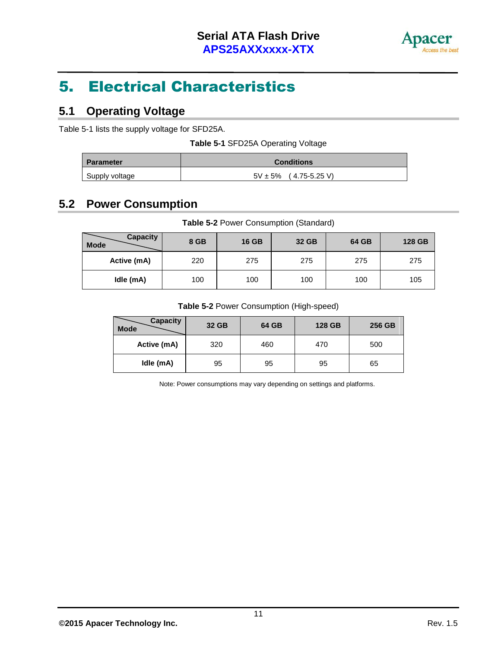

## 5. Electrical Characteristics

#### **5.1 Operating Voltage**

Table 5-1 lists the supply voltage for SFD25A.

| Table 5-1 SFD25A Operating Voltage |
|------------------------------------|
|------------------------------------|

| <b>Parameter</b> | <b>Conditions</b>          |
|------------------|----------------------------|
| Supply voltage   | $5V \pm 5\%$ (4.75-5.25 V) |

### **5.2 Power Consumption**

| Table 5-2 Power Consumption (Standard) |  |
|----------------------------------------|--|
|----------------------------------------|--|

| <b>Capacity</b><br>Mode | 8 GB | <b>16 GB</b> | 32 GB | 64 GB | 128 GB |
|-------------------------|------|--------------|-------|-------|--------|
| Active (mA)             | 220  | 275          | 275   | 275   | 275    |
| Idle (mA)               | 100  | 100          | 100   | 100   | 105    |

#### **Table 5-2** Power Consumption (High-speed)

| <b>Capacity</b><br><b>Mode</b> | 32 GB | 64 GB | 128 GB | 256 GB |
|--------------------------------|-------|-------|--------|--------|
| Active (mA)                    | 320   | 460   | 470    | 500    |
| Idle (mA)                      | 95    | 95    | 95     | 65     |

Note: Power consumptions may vary depending on settings and platforms.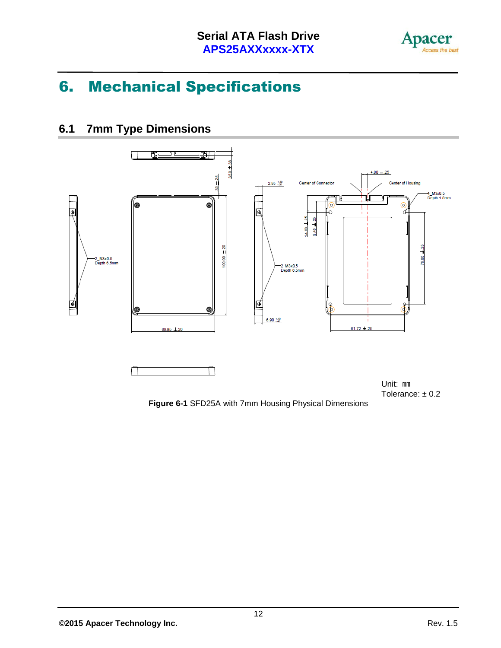

## 6. Mechanical Specifications

### **6.1 7mm Type Dimensions**



Tolerance:  $\pm 0.2$ 

**Figure 6-1** SFD25A with 7mm Housing Physical Dimensions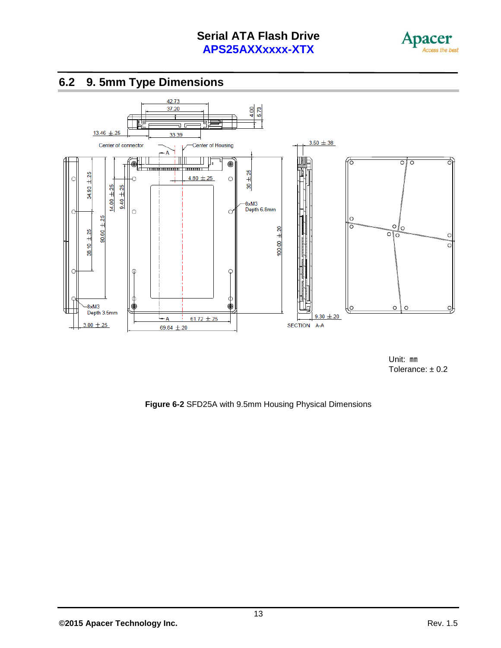



**6.2 9. 5mm Type Dimensions**

Unit: ㎜ Tolerance:  $\pm$  0.2

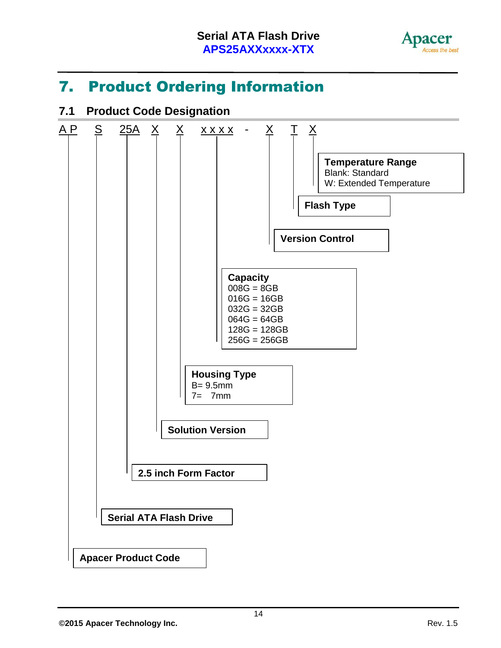

### 7. Product Ordering Information

### **7.1 Product Code Designation**

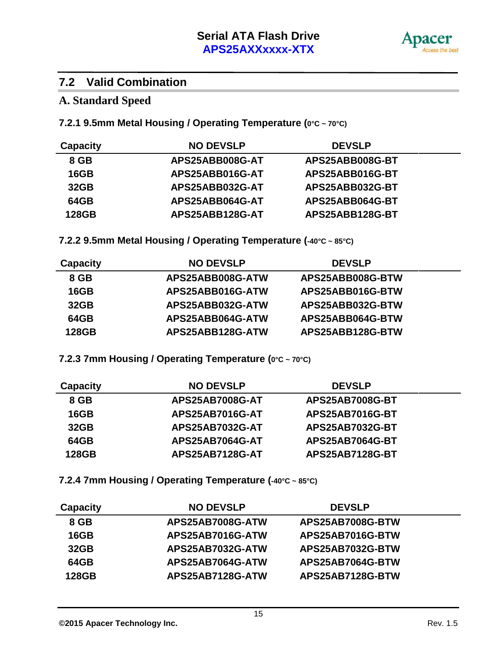

#### **7.2 Valid Combination**

#### **A. Standard Speed**

**7.2.1 9.5mm Metal Housing / Operating Temperature (0°C ~ 70°C)**

| Capacity | <b>NO DEVSLP</b> | <b>DEVSLP</b>   |
|----------|------------------|-----------------|
| 8 GB     | APS25ABB008G-AT  | APS25ABB008G-BT |
| 16GB     | APS25ABB016G-AT  | APS25ABB016G-BT |
| 32GB     | APS25ABB032G-AT  | APS25ABB032G-BT |
| 64GB     | APS25ABB064G-AT  | APS25ABB064G-BT |
| 128GB    | APS25ABB128G-AT  | APS25ABB128G-BT |

**7.2.2 9.5mm Metal Housing / Operating Temperature (-40°C ~ 85°C)**

| <b>Capacity</b> | <b>NO DEVSLP</b> | <b>DEVSLP</b>    |
|-----------------|------------------|------------------|
| 8 GB            | APS25ABB008G-ATW | APS25ABB008G-BTW |
| 16GB            | APS25ABB016G-ATW | APS25ABB016G-BTW |
| 32GB            | APS25ABB032G-ATW | APS25ABB032G-BTW |
| 64GB            | APS25ABB064G-ATW | APS25ABB064G-BTW |
| 128GB           | APS25ABB128G-ATW | APS25ABB128G-BTW |

**7.2.3 7mm Housing / Operating Temperature (0°C ~ 70°C)**

| <b>Capacity</b> | <b>NO DEVSLP</b>       | <b>DEVSLP</b>          |
|-----------------|------------------------|------------------------|
| 8 GB            | <b>APS25AB7008G-AT</b> | <b>APS25AB7008G-BT</b> |
| 16GB            | <b>APS25AB7016G-AT</b> | <b>APS25AB7016G-BT</b> |
| 32GB            | APS25AB7032G-AT        | <b>APS25AB7032G-BT</b> |
| 64GB            | APS25AB7064G-AT        | <b>APS25AB7064G-BT</b> |
| 128GB           | <b>APS25AB7128G-AT</b> | <b>APS25AB7128G-BT</b> |

**7.2.4 7mm Housing / Operating Temperature (-40°C ~ 85°C)**

| <b>Capacity</b> | <b>NO DEVSLP</b> | <b>DEVSLP</b>    |
|-----------------|------------------|------------------|
| 8 GB            | APS25AB7008G-ATW | APS25AB7008G-BTW |
| 16GB            | APS25AB7016G-ATW | APS25AB7016G-BTW |
| 32GB            | APS25AB7032G-ATW | APS25AB7032G-BTW |
| 64GB            | APS25AB7064G-ATW | APS25AB7064G-BTW |
| 128GB           | APS25AB7128G-ATW | APS25AB7128G-BTW |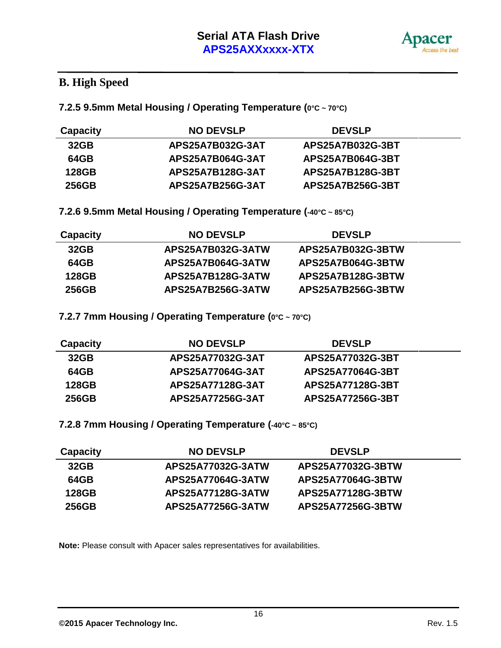

### **B. High Speed**

**7.2.5 9.5mm Metal Housing / Operating Temperature (0°C ~ 70°C)**

| <b>Capacity</b> | <b>NO DEVSLP</b>        | <b>DEVSLP</b>    |
|-----------------|-------------------------|------------------|
| 32GB            | APS25A7B032G-3AT        | APS25A7B032G-3BT |
| 64GB            | <b>APS25A7B064G-3AT</b> | APS25A7B064G-3BT |
| 128GB           | APS25A7B128G-3AT        | APS25A7B128G-3BT |
| 256GB           | APS25A7B256G-3AT        | APS25A7B256G-3BT |

**7.2.6 9.5mm Metal Housing / Operating Temperature (-40°C ~ 85°C)**

| Capacity | <b>NO DEVSLP</b>  | <b>DEVSLP</b>     |
|----------|-------------------|-------------------|
| 32GB     | APS25A7B032G-3ATW | APS25A7B032G-3BTW |
| 64GB     | APS25A7B064G-3ATW | APS25A7B064G-3BTW |
| 128GB    | APS25A7B128G-3ATW | APS25A7B128G-3BTW |
| 256GB    | APS25A7B256G-3ATW | APS25A7B256G-3BTW |

**7.2.7 7mm Housing / Operating Temperature (0°C ~ 70°C)**

| Capacity | <b>NO DEVSLP</b> | <b>DEVSLP</b>    |  |
|----------|------------------|------------------|--|
| 32GB     | APS25A77032G-3AT | APS25A77032G-3BT |  |
| 64GB     | APS25A77064G-3AT | APS25A77064G-3BT |  |
| 128GB    | APS25A77128G-3AT | APS25A77128G-3BT |  |
| 256GB    | APS25A77256G-3AT | APS25A77256G-3BT |  |

**7.2.8 7mm Housing / Operating Temperature (-40°C ~ 85°C)**

| <b>Capacity</b> | <b>NO DEVSLP</b>  | <b>DEVSLP</b>     |
|-----------------|-------------------|-------------------|
| 32GB            | APS25A77032G-3ATW | APS25A77032G-3BTW |
| 64GB            | APS25A77064G-3ATW | APS25A77064G-3BTW |
| 128GB           | APS25A77128G-3ATW | APS25A77128G-3BTW |
| 256GB           | APS25A77256G-3ATW | APS25A77256G-3BTW |

**Note:** Please consult with Apacer sales representatives for availabilities.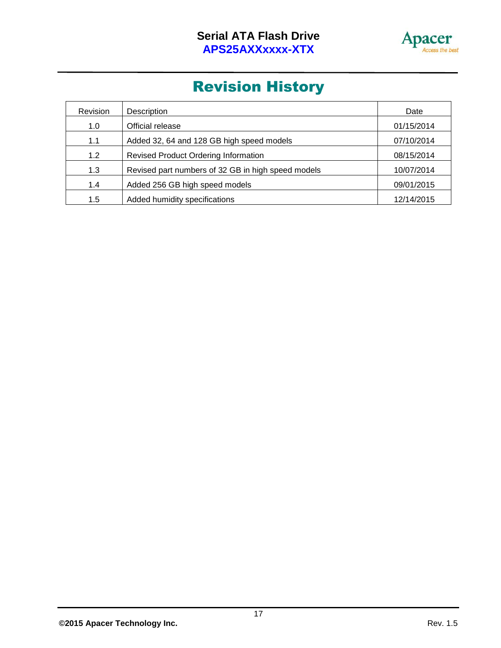

## Revision History

| Revision | Description                                        | Date       |
|----------|----------------------------------------------------|------------|
| 1.0      | Official release                                   | 01/15/2014 |
| 1.1      | Added 32, 64 and 128 GB high speed models          | 07/10/2014 |
| 1.2      | <b>Revised Product Ordering Information</b>        | 08/15/2014 |
| 1.3      | Revised part numbers of 32 GB in high speed models | 10/07/2014 |
| 1.4      | Added 256 GB high speed models                     | 09/01/2015 |
| 1.5      | Added humidity specifications                      | 12/14/2015 |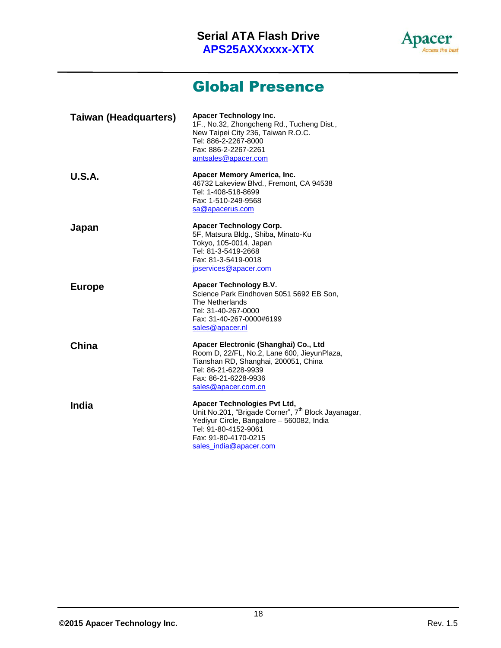

### Global Presence

| <b>Taiwan (Headquarters)</b> | Apacer Technology Inc.<br>1F., No.32, Zhongcheng Rd., Tucheng Dist.,<br>New Taipei City 236, Taiwan R.O.C.<br>Tel: 886-2-2267-8000<br>Fax: 886-2-2267-2261<br>amtsales@apacer.com                                      |
|------------------------------|------------------------------------------------------------------------------------------------------------------------------------------------------------------------------------------------------------------------|
| <b>U.S.A.</b>                | Apacer Memory America, Inc.<br>46732 Lakeview Blvd., Fremont, CA 94538<br>Tel: 1-408-518-8699<br>Fax: 1-510-249-9568<br>sa@apacerus.com                                                                                |
| Japan                        | <b>Apacer Technology Corp.</b><br>5F, Matsura Bldg., Shiba, Minato-Ku<br>Tokyo, 105-0014, Japan<br>Tel: 81-3-5419-2668<br>Fax: 81-3-5419-0018<br>jpservices@apacer.com                                                 |
| <b>Europe</b>                | Apacer Technology B.V.<br>Science Park Eindhoven 5051 5692 EB Son,<br>The Netherlands<br>Tel: 31-40-267-0000<br>Fax: 31-40-267-0000#6199<br>sales@apacer.nl                                                            |
| China                        | Apacer Electronic (Shanghai) Co., Ltd<br>Room D, 22/FL, No.2, Lane 600, JieyunPlaza,<br>Tianshan RD, Shanghai, 200051, China<br>Tel: 86-21-6228-9939<br>Fax: 86-21-6228-9936<br>sales@apacer.com.cn                    |
| <b>India</b>                 | Apacer Technologies Pvt Ltd,<br>Unit No.201, "Brigade Corner", 7 <sup>th</sup> Block Jayanagar,<br>Yediyur Circle, Bangalore - 560082, India<br>Tel: 91-80-4152-9061<br>Fax: 91-80-4170-0215<br>sales_india@apacer.com |